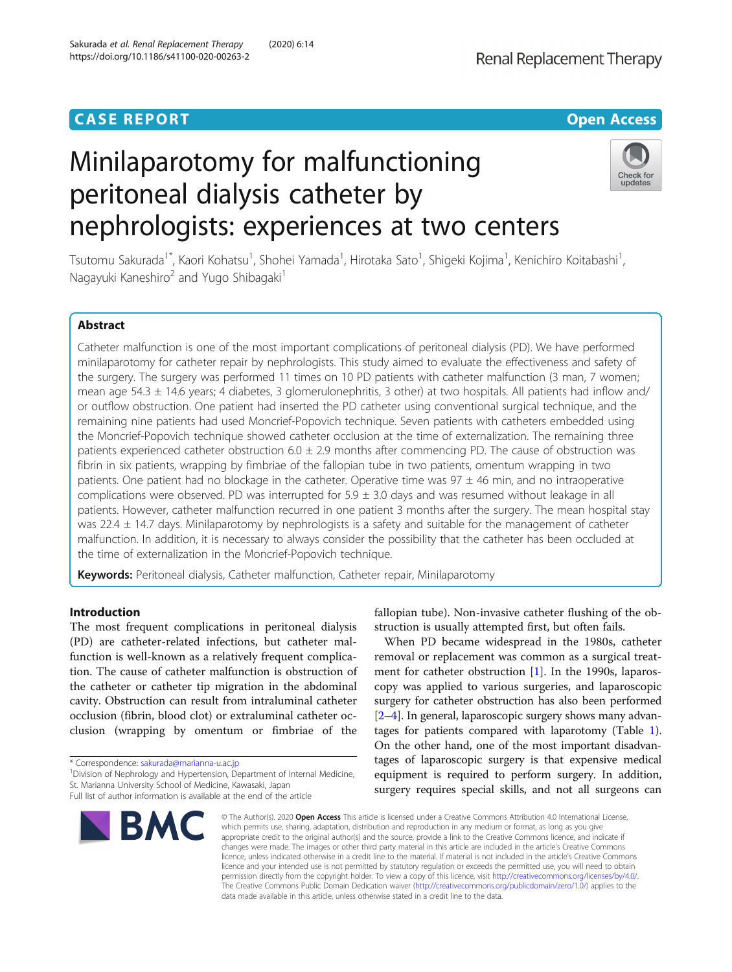# Minilaparotomy for malfunctioning peritoneal dialysis catheter by nephrologists: experiences at two centers

# Check for updates

Tsutomu Sakurada<sup>1\*</sup>, Kaori Kohatsu<sup>1</sup>, Shohei Yamada<sup>1</sup>, Hirotaka Sato<sup>1</sup>, Shigeki Kojima<sup>1</sup>, Kenichiro Koitabashi<sup>1</sup> , Nagayuki Kaneshiro<sup>2</sup> and Yugo Shibagaki<sup>1</sup>

# Abstract

Catheter malfunction is one of the most important complications of peritoneal dialysis (PD). We have performed minilaparotomy for catheter repair by nephrologists. This study aimed to evaluate the effectiveness and safety of the surgery. The surgery was performed 11 times on 10 PD patients with catheter malfunction (3 man, 7 women; mean age 54.3  $\pm$  14.6 years; 4 diabetes, 3 glomerulonephritis, 3 other) at two hospitals. All patients had inflow and/ or outflow obstruction. One patient had inserted the PD catheter using conventional surgical technique, and the remaining nine patients had used Moncrief-Popovich technique. Seven patients with catheters embedded using the Moncrief-Popovich technique showed catheter occlusion at the time of externalization. The remaining three patients experienced catheter obstruction  $6.0 \pm 2.9$  months after commencing PD. The cause of obstruction was fibrin in six patients, wrapping by fimbriae of the fallopian tube in two patients, omentum wrapping in two patients. One patient had no blockage in the catheter. Operative time was  $97 \pm 46$  min, and no intraoperative complications were observed. PD was interrupted for  $5.9 \pm 3.0$  days and was resumed without leakage in all patients. However, catheter malfunction recurred in one patient 3 months after the surgery. The mean hospital stay was 22.4  $\pm$  14.7 days. Minilaparotomy by nephrologists is a safety and suitable for the management of catheter malfunction. In addition, it is necessary to always consider the possibility that the catheter has been occluded at the time of externalization in the Moncrief-Popovich technique.

Keywords: Peritoneal dialysis, Catheter malfunction, Catheter repair, Minilaparotomy

# Introduction

The most frequent complications in peritoneal dialysis (PD) are catheter-related infections, but catheter malfunction is well-known as a relatively frequent complication. The cause of catheter malfunction is obstruction of the catheter or catheter tip migration in the abdominal cavity. Obstruction can result from intraluminal catheter occlusion (fibrin, blood clot) or extraluminal catheter occlusion (wrapping by omentum or fimbriae of the

\* Correspondence: [sakurada@marianna-u.ac.jp](mailto:sakurada@marianna-u.ac.jp) <sup>1</sup>

<sup>1</sup> Division of Nephrology and Hypertension, Department of Internal Medicine, St. Marianna University School of Medicine, Kawasaki, Japan Full list of author information is available at the end of the article



fallopian tube). Non-invasive catheter flushing of the obstruction is usually attempted first, but often fails.

When PD became widespread in the 1980s, catheter removal or replacement was common as a surgical treatment for catheter obstruction [\[1](#page-4-0)]. In the 1990s, laparoscopy was applied to various surgeries, and laparoscopic surgery for catheter obstruction has also been performed [[2](#page-4-0)–[4](#page-4-0)]. In general, laparoscopic surgery shows many advantages for patients compared with laparotomy (Table [1](#page-1-0)). On the other hand, one of the most important disadvantages of laparoscopic surgery is that expensive medical equipment is required to perform surgery. In addition, surgery requires special skills, and not all surgeons can

© The Author(s), 2020 **Open Access** This article is licensed under a Creative Commons Attribution 4.0 International License, which permits use, sharing, adaptation, distribution and reproduction in any medium or format, as long as you give appropriate credit to the original author(s) and the source, provide a link to the Creative Commons licence, and indicate if changes were made. The images or other third party material in this article are included in the article's Creative Commons licence, unless indicated otherwise in a credit line to the material. If material is not included in the article's Creative Commons licence and your intended use is not permitted by statutory regulation or exceeds the permitted use, you will need to obtain permission directly from the copyright holder. To view a copy of this licence, visit [http://creativecommons.org/licenses/by/4.0/.](http://creativecommons.org/licenses/by/4.0/) The Creative Commons Public Domain Dedication waiver [\(http://creativecommons.org/publicdomain/zero/1.0/](http://creativecommons.org/publicdomain/zero/1.0/)) applies to the data made available in this article, unless otherwise stated in a credit line to the data.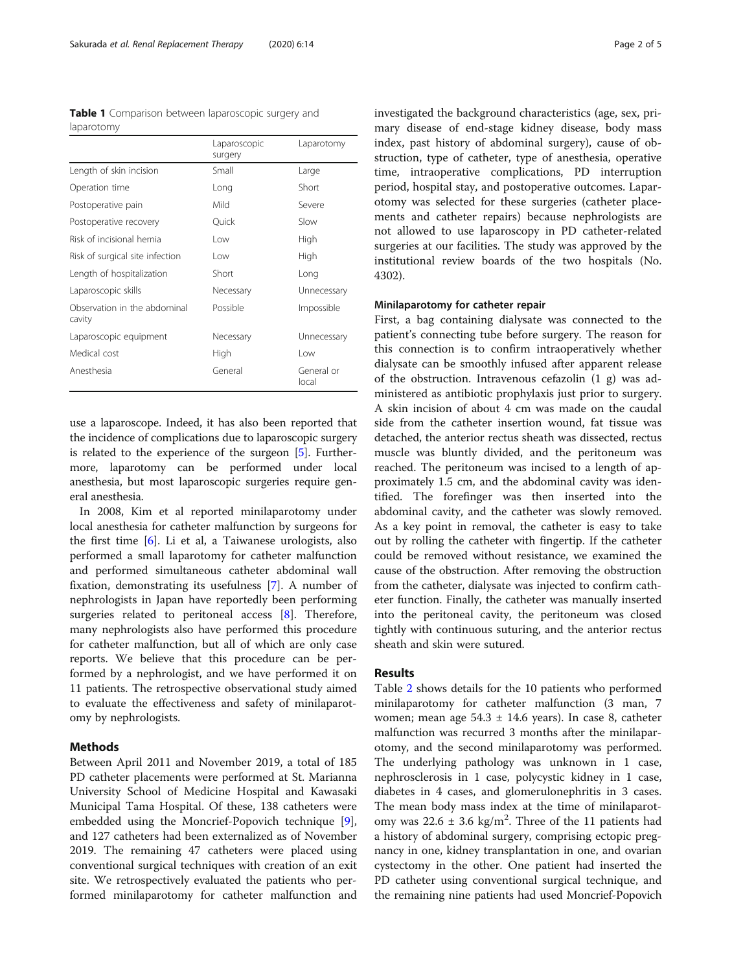<span id="page-1-0"></span>Table 1 Comparison between laparoscopic surgery and laparotomy

|                                        | Laparoscopic<br>surgery | Laparotomy          |  |
|----------------------------------------|-------------------------|---------------------|--|
| Length of skin incision                | Small                   | Large               |  |
| Operation time                         | Long                    | Short               |  |
| Postoperative pain                     | Mild                    | Severe              |  |
| Postoperative recovery                 | Ouick                   | Slow                |  |
| Risk of incisional hernia              | l ow                    | High                |  |
| Risk of surgical site infection        | l ow                    | High                |  |
| Length of hospitalization              | Short                   | Long                |  |
| Laparoscopic skills                    | Necessary               | Unnecessary         |  |
| Observation in the abdominal<br>cavity | Possible                | Impossible          |  |
| Laparoscopic equipment                 | Necessary               | Unnecessary         |  |
| Medical cost                           | High                    | l ow                |  |
| Anesthesia                             | General                 | General or<br>local |  |

use a laparoscope. Indeed, it has also been reported that the incidence of complications due to laparoscopic surgery is related to the experience of the surgeon [[5\]](#page-4-0). Furthermore, laparotomy can be performed under local anesthesia, but most laparoscopic surgeries require general anesthesia.

In 2008, Kim et al reported minilaparotomy under local anesthesia for catheter malfunction by surgeons for the first time [\[6](#page-4-0)]. Li et al, a Taiwanese urologists, also performed a small laparotomy for catheter malfunction and performed simultaneous catheter abdominal wall fixation, demonstrating its usefulness [\[7](#page-4-0)]. A number of nephrologists in Japan have reportedly been performing surgeries related to peritoneal access [\[8](#page-4-0)]. Therefore, many nephrologists also have performed this procedure for catheter malfunction, but all of which are only case reports. We believe that this procedure can be performed by a nephrologist, and we have performed it on 11 patients. The retrospective observational study aimed to evaluate the effectiveness and safety of minilaparotomy by nephrologists.

#### **Methods**

Between April 2011 and November 2019, a total of 185 PD catheter placements were performed at St. Marianna University School of Medicine Hospital and Kawasaki Municipal Tama Hospital. Of these, 138 catheters were embedded using the Moncrief-Popovich technique [\[9](#page-4-0)], and 127 catheters had been externalized as of November 2019. The remaining 47 catheters were placed using conventional surgical techniques with creation of an exit site. We retrospectively evaluated the patients who performed minilaparotomy for catheter malfunction and investigated the background characteristics (age, sex, primary disease of end-stage kidney disease, body mass index, past history of abdominal surgery), cause of obstruction, type of catheter, type of anesthesia, operative time, intraoperative complications, PD interruption period, hospital stay, and postoperative outcomes. Laparotomy was selected for these surgeries (catheter placements and catheter repairs) because nephrologists are not allowed to use laparoscopy in PD catheter-related surgeries at our facilities. The study was approved by the institutional review boards of the two hospitals (No. 4302).

# Minilaparotomy for catheter repair

First, a bag containing dialysate was connected to the patient's connecting tube before surgery. The reason for this connection is to confirm intraoperatively whether dialysate can be smoothly infused after apparent release of the obstruction. Intravenous cefazolin (1 g) was administered as antibiotic prophylaxis just prior to surgery. A skin incision of about 4 cm was made on the caudal side from the catheter insertion wound, fat tissue was detached, the anterior rectus sheath was dissected, rectus muscle was bluntly divided, and the peritoneum was reached. The peritoneum was incised to a length of approximately 1.5 cm, and the abdominal cavity was identified. The forefinger was then inserted into the abdominal cavity, and the catheter was slowly removed. As a key point in removal, the catheter is easy to take out by rolling the catheter with fingertip. If the catheter could be removed without resistance, we examined the cause of the obstruction. After removing the obstruction from the catheter, dialysate was injected to confirm catheter function. Finally, the catheter was manually inserted into the peritoneal cavity, the peritoneum was closed tightly with continuous suturing, and the anterior rectus sheath and skin were sutured.

## Results

Table [2](#page-2-0) shows details for the 10 patients who performed minilaparotomy for catheter malfunction (3 man, 7 women; mean age  $54.3 \pm 14.6$  years). In case 8, catheter malfunction was recurred 3 months after the minilaparotomy, and the second minilaparotomy was performed. The underlying pathology was unknown in 1 case, nephrosclerosis in 1 case, polycystic kidney in 1 case, diabetes in 4 cases, and glomerulonephritis in 3 cases. The mean body mass index at the time of minilaparotomy was  $22.6 \pm 3.6$  kg/m<sup>2</sup>. Three of the 11 patients had a history of abdominal surgery, comprising ectopic pregnancy in one, kidney transplantation in one, and ovarian cystectomy in the other. One patient had inserted the PD catheter using conventional surgical technique, and the remaining nine patients had used Moncrief-Popovich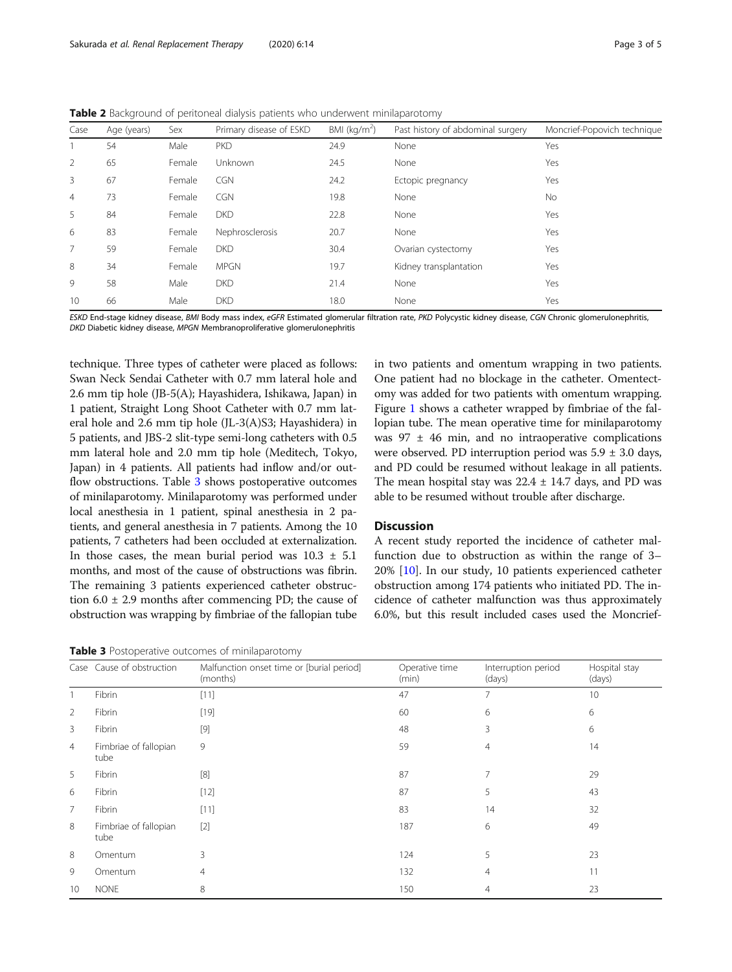<span id="page-2-0"></span>**Table 2** Background of peritoneal dialysis patients who underwent minilaparotomy

| Case           | Age (years) | Sex    | Primary disease of ESKD | BMI ( $kg/m2$ ) | Past history of abdominal surgery | Moncrief-Popovich technique |
|----------------|-------------|--------|-------------------------|-----------------|-----------------------------------|-----------------------------|
|                | 54          | Male   | <b>PKD</b>              | 24.9            | None                              | Yes                         |
| 2              | 65          | Female | Unknown                 | 24.5            | None                              | Yes                         |
| 3              | 67          | Female | <b>CGN</b>              | 24.2            | Ectopic pregnancy                 | Yes                         |
| $\overline{4}$ | 73          | Female | <b>CGN</b>              | 19.8            | None                              | No                          |
| 5              | 84          | Female | <b>DKD</b>              | 22.8            | None                              | Yes                         |
| 6              | 83          | Female | Nephrosclerosis         | 20.7            | None                              | Yes                         |
| $\overline{7}$ | 59          | Female | <b>DKD</b>              | 30.4            | Ovarian cystectomy                | Yes                         |
| 8              | 34          | Female | <b>MPGN</b>             | 19.7            | Kidney transplantation            | Yes                         |
| 9              | 58          | Male   | <b>DKD</b>              | 21.4            | None                              | Yes                         |
| 10             | 66          | Male   | <b>DKD</b>              | 18.0            | None                              | Yes                         |
|                |             |        |                         |                 |                                   |                             |

ESKD End-stage kidney disease, BMI Body mass index, eGFR Estimated glomerular filtration rate, PKD Polycystic kidney disease, CGN Chronic glomerulonephritis, DKD Diabetic kidney disease, MPGN Membranoproliferative glomerulonephritis

technique. Three types of catheter were placed as follows: Swan Neck Sendai Catheter with 0.7 mm lateral hole and 2.6 mm tip hole (JB-5(A); Hayashidera, Ishikawa, Japan) in 1 patient, Straight Long Shoot Catheter with 0.7 mm lateral hole and 2.6 mm tip hole (JL-3(A)S3; Hayashidera) in 5 patients, and JBS-2 slit-type semi-long catheters with 0.5 mm lateral hole and 2.0 mm tip hole (Meditech, Tokyo, Japan) in 4 patients. All patients had inflow and/or outflow obstructions. Table 3 shows postoperative outcomes of minilaparotomy. Minilaparotomy was performed under local anesthesia in 1 patient, spinal anesthesia in 2 patients, and general anesthesia in 7 patients. Among the 10 patients, 7 catheters had been occluded at externalization. In those cases, the mean burial period was  $10.3 \pm 5.1$ months, and most of the cause of obstructions was fibrin. The remaining 3 patients experienced catheter obstruction  $6.0 \pm 2.9$  months after commencing PD; the cause of obstruction was wrapping by fimbriae of the fallopian tube

Table 3 Postoperative outcomes of minilaparotomy

in two patients and omentum wrapping in two patients. One patient had no blockage in the catheter. Omentectomy was added for two patients with omentum wrapping. Figure [1](#page-3-0) shows a catheter wrapped by fimbriae of the fallopian tube. The mean operative time for minilaparotomy was  $97 \pm 46$  min, and no intraoperative complications were observed. PD interruption period was  $5.9 \pm 3.0$  days, and PD could be resumed without leakage in all patients. The mean hospital stay was  $22.4 \pm 14.7$  days, and PD was able to be resumed without trouble after discharge.

# Discussion

A recent study reported the incidence of catheter malfunction due to obstruction as within the range of 3– 20% [\[10\]](#page-4-0). In our study, 10 patients experienced catheter obstruction among 174 patients who initiated PD. The incidence of catheter malfunction was thus approximately 6.0%, but this result included cases used the Moncrief-

|                | Case Cause of obstruction     | Malfunction onset time or [burial period]<br>(months) | Operative time<br>(min) | Interruption period<br>(days) | Hospital stay<br>(days) |
|----------------|-------------------------------|-------------------------------------------------------|-------------------------|-------------------------------|-------------------------|
|                | Fibrin                        | [11]                                                  | 47                      |                               | 10                      |
| $\overline{2}$ | Fibrin                        | $[19]$                                                | 60                      | 6                             | 6                       |
| 3              | Fibrin                        | $[9]$                                                 | 48                      | 3                             | 6                       |
| $\overline{4}$ | Fimbriae of fallopian<br>tube | 9                                                     | 59                      | 4                             | 14                      |
| 5              | Fibrin                        | [8]                                                   | 87                      | 7                             | 29                      |
| 6              | Fibrin                        | $[12]$                                                | 87                      | 5                             | 43                      |
| $\overline{7}$ | Fibrin                        | [11]                                                  | 83                      | 14                            | 32                      |
| 8              | Fimbriae of fallopian<br>tube | $[2]$                                                 | 187                     | 6                             | 49                      |
| 8              | Omentum                       | 3                                                     | 124                     | 5                             | 23                      |
| 9              | Omentum                       | $\overline{4}$                                        | 132                     | 4                             | 11                      |
| 10             | <b>NONE</b>                   | 8                                                     | 150                     | 4                             | 23                      |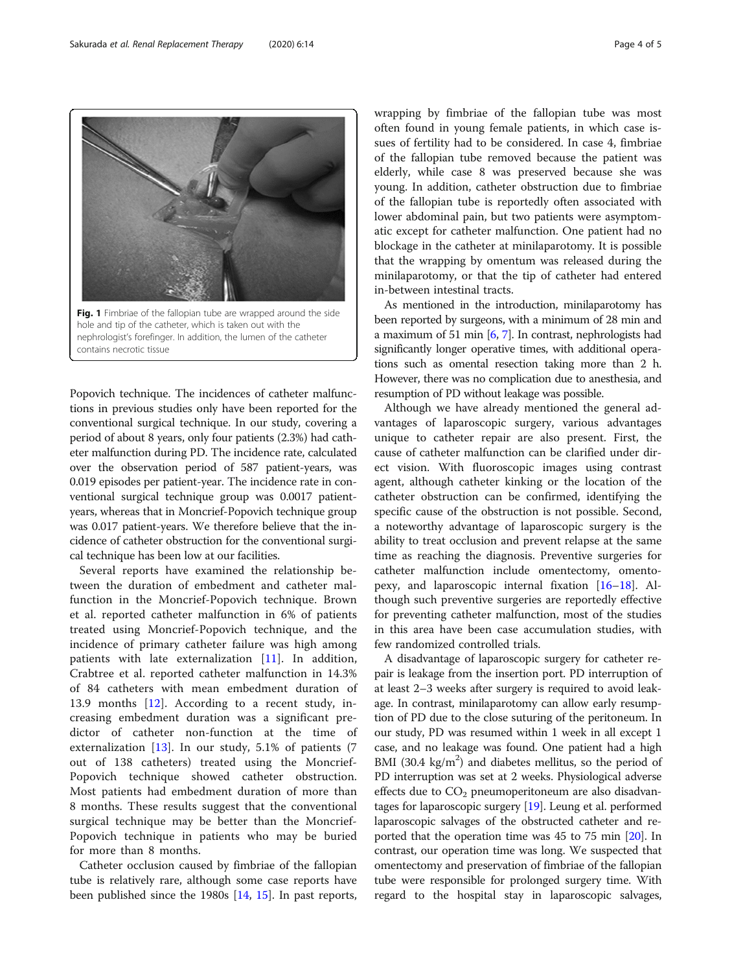Popovich technique. The incidences of catheter malfunctions in previous studies only have been reported for the conventional surgical technique. In our study, covering a period of about 8 years, only four patients (2.3%) had catheter malfunction during PD. The incidence rate, calculated over the observation period of 587 patient-years, was 0.019 episodes per patient-year. The incidence rate in conventional surgical technique group was 0.0017 patientyears, whereas that in Moncrief-Popovich technique group was 0.017 patient-years. We therefore believe that the incidence of catheter obstruction for the conventional surgical technique has been low at our facilities.

Several reports have examined the relationship between the duration of embedment and catheter malfunction in the Moncrief-Popovich technique. Brown et al. reported catheter malfunction in 6% of patients treated using Moncrief-Popovich technique, and the incidence of primary catheter failure was high among patients with late externalization [[11\]](#page-4-0). In addition, Crabtree et al. reported catheter malfunction in 14.3% of 84 catheters with mean embedment duration of 13.9 months [[12\]](#page-4-0). According to a recent study, increasing embedment duration was a significant predictor of catheter non-function at the time of externalization [\[13](#page-4-0)]. In our study, 5.1% of patients (7 out of 138 catheters) treated using the Moncrief-Popovich technique showed catheter obstruction. Most patients had embedment duration of more than 8 months. These results suggest that the conventional surgical technique may be better than the Moncrief-Popovich technique in patients who may be buried for more than 8 months.

Catheter occlusion caused by fimbriae of the fallopian tube is relatively rare, although some case reports have been published since the 1980s [[14,](#page-4-0) [15](#page-4-0)]. In past reports, wrapping by fimbriae of the fallopian tube was most often found in young female patients, in which case issues of fertility had to be considered. In case 4, fimbriae of the fallopian tube removed because the patient was elderly, while case 8 was preserved because she was young. In addition, catheter obstruction due to fimbriae of the fallopian tube is reportedly often associated with lower abdominal pain, but two patients were asymptomatic except for catheter malfunction. One patient had no blockage in the catheter at minilaparotomy. It is possible that the wrapping by omentum was released during the minilaparotomy, or that the tip of catheter had entered in-between intestinal tracts.

As mentioned in the introduction, minilaparotomy has been reported by surgeons, with a minimum of 28 min and a maximum of 51 min [\[6,](#page-4-0) [7](#page-4-0)]. In contrast, nephrologists had significantly longer operative times, with additional operations such as omental resection taking more than 2 h. However, there was no complication due to anesthesia, and resumption of PD without leakage was possible.

Although we have already mentioned the general advantages of laparoscopic surgery, various advantages unique to catheter repair are also present. First, the cause of catheter malfunction can be clarified under direct vision. With fluoroscopic images using contrast agent, although catheter kinking or the location of the catheter obstruction can be confirmed, identifying the specific cause of the obstruction is not possible. Second, a noteworthy advantage of laparoscopic surgery is the ability to treat occlusion and prevent relapse at the same time as reaching the diagnosis. Preventive surgeries for catheter malfunction include omentectomy, omentopexy, and laparoscopic internal fixation [\[16](#page-4-0)–[18\]](#page-4-0). Although such preventive surgeries are reportedly effective for preventing catheter malfunction, most of the studies in this area have been case accumulation studies, with few randomized controlled trials.

A disadvantage of laparoscopic surgery for catheter repair is leakage from the insertion port. PD interruption of at least 2–3 weeks after surgery is required to avoid leakage. In contrast, minilaparotomy can allow early resumption of PD due to the close suturing of the peritoneum. In our study, PD was resumed within 1 week in all except 1 case, and no leakage was found. One patient had a high BMI (30.4  $\text{kg/m}^2$ ) and diabetes mellitus, so the period of PD interruption was set at 2 weeks. Physiological adverse effects due to  $CO<sub>2</sub>$  pneumoperitoneum are also disadvantages for laparoscopic surgery [\[19](#page-4-0)]. Leung et al. performed laparoscopic salvages of the obstructed catheter and reported that the operation time was 45 to 75 min [[20](#page-4-0)]. In contrast, our operation time was long. We suspected that omentectomy and preservation of fimbriae of the fallopian tube were responsible for prolonged surgery time. With regard to the hospital stay in laparoscopic salvages,

hole and tip of the catheter, which is taken out with the nephrologist's forefinger. In addition, the lumen of the catheter contains necrotic tissue

<span id="page-3-0"></span>